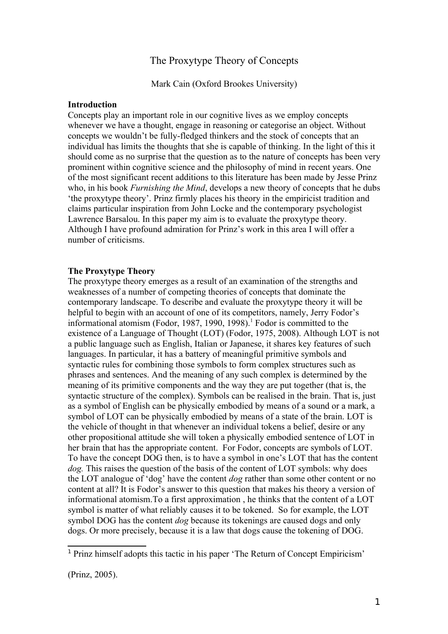# The Proxytype Theory of Concepts

Mark Cain (Oxford Brookes University)

## **Introduction**

Concepts play an important role in our cognitive lives as we employ concepts whenever we have a thought, engage in reasoning or categorise an object. Without concepts we wouldn't be fully-fledged thinkers and the stock of concepts that an individual has limits the thoughts that she is capable of thinking. In the light of this it should come as no surprise that the question as to the nature of concepts has been very prominent within cognitive science and the philosophy of mind in recent years. One of the most significant recent additions to this literature has been made by Jesse Prinz who, in his book *Furnishing the Mind*, develops a new theory of concepts that he dubs 'the proxytype theory'. Prinz firmly places his theory in the empiricist tradition and claims particular inspiration from John Locke and the contemporary psychologist Lawrence Barsalou. In this paper my aim is to evaluate the proxytype theory. Although I have profound admiration for Prinz's work in this area I will offer a number of criticisms.

## **The Proxytype Theory**

The proxytype theory emerges as a result of an examination of the strengths and weaknesses of a number of competing theories of concepts that dominate the contemporary landscape. To describe and evaluate the proxytype theory it will be helpful to begin with an account of one of its competitors, namely, Jerry Fodor's informational atomism (Fodor, [1](#page-0-0)987, 1990, 1998).<sup>1</sup> Fodor is committed to the existence of a Language of Thought (LOT) (Fodor, 1975, 2008). Although LOT is not a public language such as English, Italian or Japanese, it shares key features of such languages. In particular, it has a battery of meaningful primitive symbols and syntactic rules for combining those symbols to form complex structures such as phrases and sentences. And the meaning of any such complex is determined by the meaning of its primitive components and the way they are put together (that is, the syntactic structure of the complex). Symbols can be realised in the brain. That is, just as a symbol of English can be physically embodied by means of a sound or a mark, a symbol of LOT can be physically embodied by means of a state of the brain. LOT is the vehicle of thought in that whenever an individual tokens a belief, desire or any other propositional attitude she will token a physically embodied sentence of LOT in her brain that has the appropriate content. For Fodor, concepts are symbols of LOT. To have the concept DOG then, is to have a symbol in one's LOT that has the content *dog.* This raises the question of the basis of the content of LOT symbols: why does the LOT analogue of 'dog' have the content *dog* rather than some other content or no content at all? It is Fodor's answer to this question that makes his theory a version of informational atomism.To a first approximation , he thinks that the content of a LOT symbol is matter of what reliably causes it to be tokened. So for example, the LOT symbol DOG has the content *dog* because its tokenings are caused dogs and only dogs. Or more precisely, because it is a law that dogs cause the tokening of DOG.

<span id="page-0-0"></span><sup>&</sup>lt;sup>1</sup> Prinz himself adopts this tactic in his paper 'The Return of Concept Empiricism'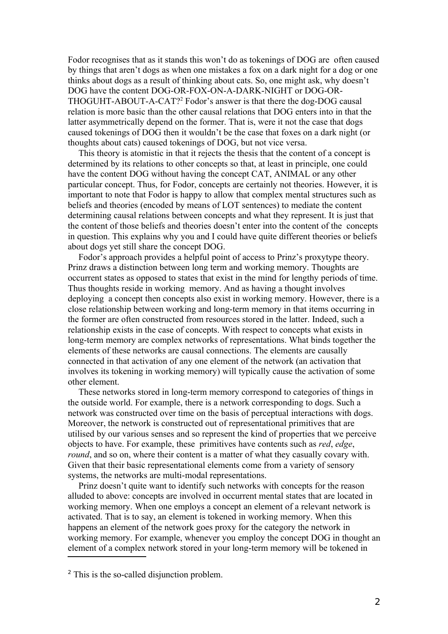Fodor recognises that as it stands this won't do as tokenings of DOG are often caused by things that aren't dogs as when one mistakes a fox on a dark night for a dog or one thinks about dogs as a result of thinking about cats. So, one might ask, why doesn't DOG have the content DOG-OR-FOX-ON-A-DARK-NIGHT or DOG-OR-THOGUHT-ABOUT-A-CAT?<sup>[2](#page-1-0)</sup> Fodor's answer is that there the dog-DOG causal relation is more basic than the other causal relations that DOG enters into in that the latter asymmetrically depend on the former. That is, were it not the case that dogs caused tokenings of DOG then it wouldn't be the case that foxes on a dark night (or thoughts about cats) caused tokenings of DOG, but not vice versa.

This theory is atomistic in that it rejects the thesis that the content of a concept is determined by its relations to other concepts so that, at least in principle, one could have the content DOG without having the concept CAT, ANIMAL or any other particular concept. Thus, for Fodor, concepts are certainly not theories. However, it is important to note that Fodor is happy to allow that complex mental structures such as beliefs and theories (encoded by means of LOT sentences) to mediate the content determining causal relations between concepts and what they represent. It is just that the content of those beliefs and theories doesn't enter into the content of the concepts in question. This explains why you and I could have quite different theories or beliefs about dogs yet still share the concept DOG.

Fodor's approach provides a helpful point of access to Prinz's proxytype theory. Prinz draws a distinction between long term and working memory. Thoughts are occurrent states as opposed to states that exist in the mind for lengthy periods of time. Thus thoughts reside in working memory. And as having a thought involves deploying a concept then concepts also exist in working memory. However, there is a close relationship between working and long-term memory in that items occurring in the former are often constructed from resources stored in the latter. Indeed, such a relationship exists in the case of concepts. With respect to concepts what exists in long-term memory are complex networks of representations. What binds together the elements of these networks are causal connections. The elements are causally connected in that activation of any one element of the network (an activation that involves its tokening in working memory) will typically cause the activation of some other element.

These networks stored in long-term memory correspond to categories of things in the outside world. For example, there is a network corresponding to dogs. Such a network was constructed over time on the basis of perceptual interactions with dogs. Moreover, the network is constructed out of representational primitives that are utilised by our various senses and so represent the kind of properties that we perceive objects to have. For example, these primitives have contents such as *red*, *edge*, *round*, and so on, where their content is a matter of what they casually covary with. Given that their basic representational elements come from a variety of sensory systems, the networks are multi-modal representations.

Prinz doesn't quite want to identify such networks with concepts for the reason alluded to above: concepts are involved in occurrent mental states that are located in working memory. When one employs a concept an element of a relevant network is activated. That is to say, an element is tokened in working memory. When this happens an element of the network goes proxy for the category the network in working memory. For example, whenever you employ the concept DOG in thought an element of a complex network stored in your long-term memory will be tokened in

<span id="page-1-0"></span><sup>&</sup>lt;sup>2</sup> This is the so-called disjunction problem.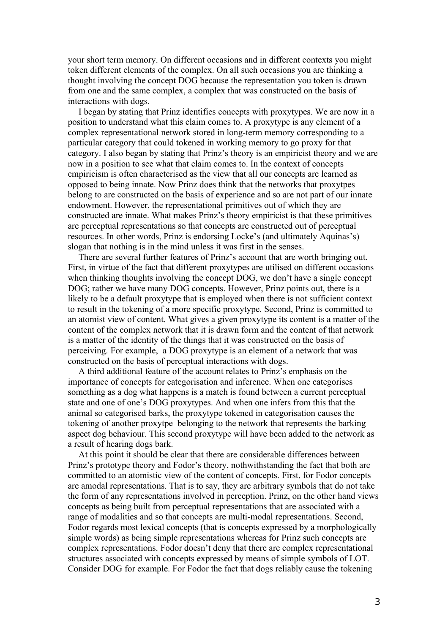your short term memory. On different occasions and in different contexts you might token different elements of the complex. On all such occasions you are thinking a thought involving the concept DOG because the representation you token is drawn from one and the same complex, a complex that was constructed on the basis of interactions with dogs.

I began by stating that Prinz identifies concepts with proxytypes. We are now in a position to understand what this claim comes to. A proxytype is any element of a complex representational network stored in long-term memory corresponding to a particular category that could tokened in working memory to go proxy for that category. I also began by stating that Prinz's theory is an empiricist theory and we are now in a position to see what that claim comes to. In the context of concepts empiricism is often characterised as the view that all our concepts are learned as opposed to being innate. Now Prinz does think that the networks that proxytpes belong to are constructed on the basis of experience and so are not part of our innate endowment. However, the representational primitives out of which they are constructed are innate. What makes Prinz's theory empiricist is that these primitives are perceptual representations so that concepts are constructed out of perceptual resources. In other words, Prinz is endorsing Locke's (and ultimately Aquinas's) slogan that nothing is in the mind unless it was first in the senses.

There are several further features of Prinz's account that are worth bringing out. First, in virtue of the fact that different proxytypes are utilised on different occasions when thinking thoughts involving the concept DOG, we don't have a single concept DOG; rather we have many DOG concepts. However, Prinz points out, there is a likely to be a default proxytype that is employed when there is not sufficient context to result in the tokening of a more specific proxytype. Second, Prinz is committed to an atomist view of content. What gives a given proxytype its content is a matter of the content of the complex network that it is drawn form and the content of that network is a matter of the identity of the things that it was constructed on the basis of perceiving. For example, a DOG proxytype is an element of a network that was constructed on the basis of perceptual interactions with dogs.

A third additional feature of the account relates to Prinz's emphasis on the importance of concepts for categorisation and inference. When one categorises something as a dog what happens is a match is found between a current perceptual state and one of one's DOG proxytypes. And when one infers from this that the animal so categorised barks, the proxytype tokened in categorisation causes the tokening of another proxytpe belonging to the network that represents the barking aspect dog behaviour. This second proxytype will have been added to the network as a result of hearing dogs bark.

At this point it should be clear that there are considerable differences between Prinz's prototype theory and Fodor's theory, nothwithstanding the fact that both are committed to an atomistic view of the content of concepts. First, for Fodor concepts are amodal representations. That is to say, they are arbitrary symbols that do not take the form of any representations involved in perception. Prinz, on the other hand views concepts as being built from perceptual representations that are associated with a range of modalities and so that concepts are multi-modal representations. Second, Fodor regards most lexical concepts (that is concepts expressed by a morphologically simple words) as being simple representations whereas for Prinz such concepts are complex representations. Fodor doesn't deny that there are complex representational structures associated with concepts expressed by means of simple symbols of LOT. Consider DOG for example. For Fodor the fact that dogs reliably cause the tokening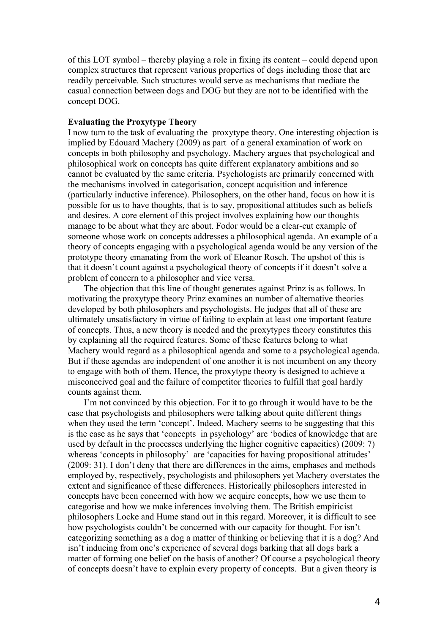of this LOT symbol – thereby playing a role in fixing its content – could depend upon complex structures that represent various properties of dogs including those that are readily perceivable. Such structures would serve as mechanisms that mediate the casual connection between dogs and DOG but they are not to be identified with the concept DOG.

# **Evaluating the Proxytype Theory**

I now turn to the task of evaluating the proxytype theory. One interesting objection is implied by Edouard Machery (2009) as part of a general examination of work on concepts in both philosophy and psychology. Machery argues that psychological and philosophical work on concepts has quite different explanatory ambitions and so cannot be evaluated by the same criteria. Psychologists are primarily concerned with the mechanisms involved in categorisation, concept acquisition and inference (particularly inductive inference). Philosophers, on the other hand, focus on how it is possible for us to have thoughts, that is to say, propositional attitudes such as beliefs and desires. A core element of this project involves explaining how our thoughts manage to be about what they are about. Fodor would be a clear-cut example of someone whose work on concepts addresses a philosophical agenda. An example of a theory of concepts engaging with a psychological agenda would be any version of the prototype theory emanating from the work of Eleanor Rosch. The upshot of this is that it doesn't count against a psychological theory of concepts if it doesn't solve a problem of concern to a philosopher and vice versa.

The objection that this line of thought generates against Prinz is as follows. In motivating the proxytype theory Prinz examines an number of alternative theories developed by both philosophers and psychologists. He judges that all of these are ultimately unsatisfactory in virtue of failing to explain at least one important feature of concepts. Thus, a new theory is needed and the proxytypes theory constitutes this by explaining all the required features. Some of these features belong to what Machery would regard as a philosophical agenda and some to a psychological agenda. But if these agendas are independent of one another it is not incumbent on any theory to engage with both of them. Hence, the proxytype theory is designed to achieve a misconceived goal and the failure of competitor theories to fulfill that goal hardly counts against them.

I'm not convinced by this objection. For it to go through it would have to be the case that psychologists and philosophers were talking about quite different things when they used the term 'concept'. Indeed, Machery seems to be suggesting that this is the case as he says that 'concepts in psychology' are 'bodies of knowledge that are used by default in the processes underlying the higher cognitive capacities) (2009: 7) whereas 'concepts in philosophy' are 'capacities for having propositional attitudes' (2009: 31). I don't deny that there are differences in the aims, emphases and methods employed by, respectively, psychologists and philosophers yet Machery overstates the extent and significance of these differences. Historically philosophers interested in concepts have been concerned with how we acquire concepts, how we use them to categorise and how we make inferences involving them. The British empiricist philosophers Locke and Hume stand out in this regard. Moreover, it is difficult to see how psychologists couldn't be concerned with our capacity for thought. For isn't categorizing something as a dog a matter of thinking or believing that it is a dog? And isn't inducing from one's experience of several dogs barking that all dogs bark a matter of forming one belief on the basis of another? Of course a psychological theory of concepts doesn't have to explain every property of concepts. But a given theory is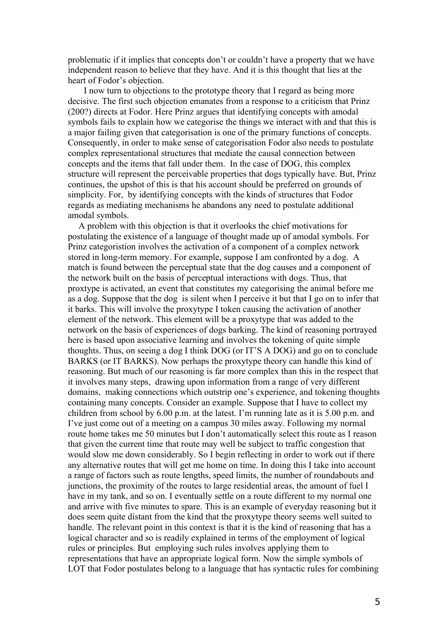problematic if it implies that concepts don't or couldn't have a property that we have independent reason to believe that they have. And it is this thought that lies at the heart of Fodor's objection.

I now turn to objections to the prototype theory that I regard as being more decisive. The first such objection emanates from a response to a criticism that Prinz (200?) directs at Fodor. Here Prinz argues that identifying concepts with amodal symbols fails to explain how we categorise the things we interact with and that this is a major failing given that categorisation is one of the primary functions of concepts. Consequently, in order to make sense of categorisation Fodor also needs to postulate complex representational structures that mediate the causal connection between concepts and the items that fall under them. In the case of DOG, this complex structure will represent the perceivable properties that dogs typically have. But, Prinz continues, the upshot of this is that his account should be preferred on grounds of simplicity. For, by identifying concepts with the kinds of structures that Fodor regards as mediating mechanisms he abandons any need to postulate additional amodal symbols.

A problem with this objection is that it overlooks the chief motivations for postulating the existence of a language of thought made up of amodal symbols. For Prinz categoristion involves the activation of a component of a complex network stored in long-term memory. For example, suppose I am confronted by a dog. A match is found between the perceptual state that the dog causes and a component of the network built on the basis of perceptual interactions with dogs. Thus, that proxtype is activated, an event that constitutes my categorising the animal before me as a dog. Suppose that the dog is silent when I perceive it but that I go on to infer that it barks. This will involve the proxytype I token causing the activation of another element of the network. This element will be a proxytype that was added to the network on the basis of experiences of dogs barking. The kind of reasoning portrayed here is based upon associative learning and involves the tokening of quite simple thoughts. Thus, on seeing a dog I think DOG (or IT'S A DOG) and go on to conclude BARKS (or IT BARKS). Now perhaps the proxytype theory can handle this kind of reasoning. But much of our reasoning is far more complex than this in the respect that it involves many steps, drawing upon information from a range of very different domains, making connections which outstrip one's experience, and tokening thoughts containing many concepts. Consider an example. Suppose that I have to collect my children from school by 6.00 p.m. at the latest. I'm running late as it is 5.00 p.m. and I've just come out of a meeting on a campus 30 miles away. Following my normal route home takes me 50 minutes but I don't automatically select this route as I reason that given the current time that route may well be subject to traffic congestion that would slow me down considerably. So I begin reflecting in order to work out if there any alternative routes that will get me home on time. In doing this I take into account a range of factors such as route lengths, speed limits, the number of roundabouts and junctions, the proximity of the routes to large residential areas, the amount of fuel I have in my tank, and so on. I eventually settle on a route different to my normal one and arrive with five minutes to spare. This is an example of everyday reasoning but it does seem quite distant from the kind that the proxytype theory seems well suited to handle. The relevant point in this context is that it is the kind of reasoning that has a logical character and so is readily explained in terms of the employment of logical rules or principles. But employing such rules involves applying them to representations that have an appropriate logical form. Now the simple symbols of LOT that Fodor postulates belong to a language that has syntactic rules for combining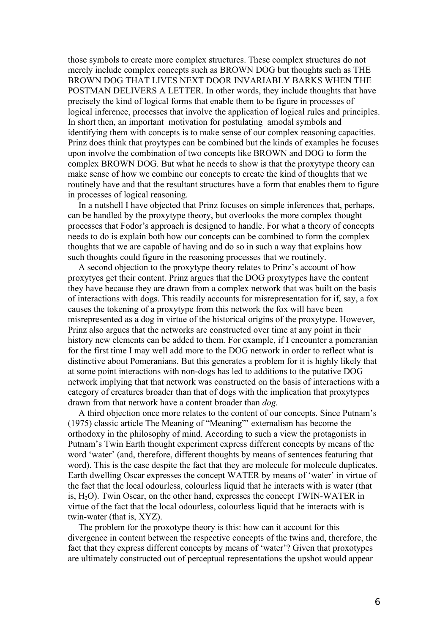those symbols to create more complex structures. These complex structures do not merely include complex concepts such as BROWN DOG but thoughts such as THE BROWN DOG THAT LIVES NEXT DOOR INVARIABLY BARKS WHEN THE POSTMAN DELIVERS A LETTER. In other words, they include thoughts that have precisely the kind of logical forms that enable them to be figure in processes of logical inference, processes that involve the application of logical rules and principles. In short then, an important motivation for postulating amodal symbols and identifying them with concepts is to make sense of our complex reasoning capacities. Prinz does think that proytypes can be combined but the kinds of examples he focuses upon involve the combination of two concepts like BROWN and DOG to form the complex BROWN DOG. But what he needs to show is that the proxytype theory can make sense of how we combine our concepts to create the kind of thoughts that we routinely have and that the resultant structures have a form that enables them to figure in processes of logical reasoning.

In a nutshell I have objected that Prinz focuses on simple inferences that, perhaps, can be handled by the proxytype theory, but overlooks the more complex thought processes that Fodor's approach is designed to handle. For what a theory of concepts needs to do is explain both how our concepts can be combined to form the complex thoughts that we are capable of having and do so in such a way that explains how such thoughts could figure in the reasoning processes that we routinely.

A second objection to the proxytype theory relates to Prinz's account of how proxytyes get their content. Prinz argues that the DOG proxytypes have the content they have because they are drawn from a complex network that was built on the basis of interactions with dogs. This readily accounts for misrepresentation for if, say, a fox causes the tokening of a proxytype from this network the fox will have been misrepresented as a dog in virtue of the historical origins of the proxytype. However, Prinz also argues that the networks are constructed over time at any point in their history new elements can be added to them. For example, if I encounter a pomeranian for the first time I may well add more to the DOG network in order to reflect what is distinctive about Pomeranians. But this generates a problem for it is highly likely that at some point interactions with non-dogs has led to additions to the putative DOG network implying that that network was constructed on the basis of interactions with a category of creatures broader than that of dogs with the implication that proxytypes drawn from that network have a content broader than *dog.*

A third objection once more relates to the content of our concepts. Since Putnam's (1975) classic article The Meaning of "Meaning"' externalism has become the orthodoxy in the philosophy of mind. According to such a view the protagonists in Putnam's Twin Earth thought experiment express different concepts by means of the word 'water' (and, therefore, different thoughts by means of sentences featuring that word). This is the case despite the fact that they are molecule for molecule duplicates. Earth dwelling Oscar expresses the concept WATER by means of 'water' in virtue of the fact that the local odourless, colourless liquid that he interacts with is water (that is, H2O). Twin Oscar, on the other hand, expresses the concept TWIN-WATER in virtue of the fact that the local odourless, colourless liquid that he interacts with is twin-water (that is, XYZ).

The problem for the proxotype theory is this: how can it account for this divergence in content between the respective concepts of the twins and, therefore, the fact that they express different concepts by means of 'water'? Given that proxotypes are ultimately constructed out of perceptual representations the upshot would appear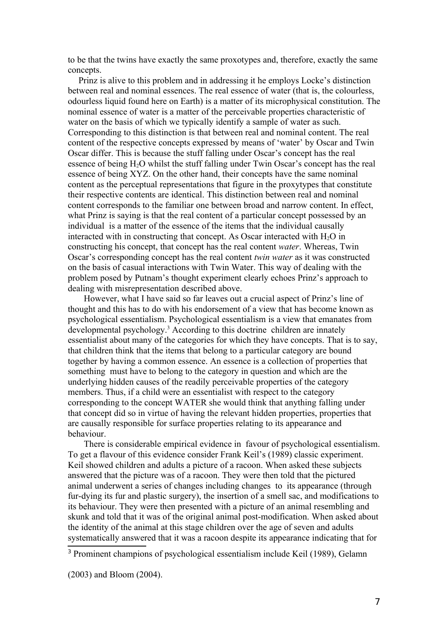to be that the twins have exactly the same proxotypes and, therefore, exactly the same concepts.

Prinz is alive to this problem and in addressing it he employs Locke's distinction between real and nominal essences. The real essence of water (that is, the colourless, odourless liquid found here on Earth) is a matter of its microphysical constitution. The nominal essence of water is a matter of the perceivable properties characteristic of water on the basis of which we typically identify a sample of water as such. Corresponding to this distinction is that between real and nominal content. The real content of the respective concepts expressed by means of 'water' by Oscar and Twin Oscar differ. This is because the stuff falling under Oscar's concept has the real essence of being H2O whilst the stuff falling under Twin Oscar's concept has the real essence of being XYZ. On the other hand, their concepts have the same nominal content as the perceptual representations that figure in the proxytypes that constitute their respective contents are identical. This distinction between real and nominal content corresponds to the familiar one between broad and narrow content. In effect, what Prinz is saying is that the real content of a particular concept possessed by an individual is a matter of the essence of the items that the individual causally interacted with in constructing that concept. As Oscar interacted with  $H_2O$  in constructing his concept, that concept has the real content *water*. Whereas, Twin Oscar's corresponding concept has the real content *twin water* as it was constructed on the basis of casual interactions with Twin Water. This way of dealing with the problem posed by Putnam's thought experiment clearly echoes Prinz's approach to dealing with misrepresentation described above.

However, what I have said so far leaves out a crucial aspect of Prinz's line of thought and this has to do with his endorsement of a view that has become known as psychological essentialism. Psychological essentialism is a view that emanates from developmental psychology.<sup>[3](#page-6-0)</sup> According to this doctrine children are innately essentialist about many of the categories for which they have concepts. That is to say, that children think that the items that belong to a particular category are bound together by having a common essence. An essence is a collection of properties that something must have to belong to the category in question and which are the underlying hidden causes of the readily perceivable properties of the category members. Thus, if a child were an essentialist with respect to the category corresponding to the concept WATER she would think that anything falling under that concept did so in virtue of having the relevant hidden properties, properties that are causally responsible for surface properties relating to its appearance and behaviour.

There is considerable empirical evidence in favour of psychological essentialism. To get a flavour of this evidence consider Frank Keil's (1989) classic experiment. Keil showed children and adults a picture of a racoon. When asked these subjects answered that the picture was of a racoon. They were then told that the pictured animal underwent a series of changes including changes to its appearance (through fur-dying its fur and plastic surgery), the insertion of a smell sac, and modifications to its behaviour. They were then presented with a picture of an animal resembling and skunk and told that it was of the original animal post-modification. When asked about the identity of the animal at this stage children over the age of seven and adults systematically answered that it was a racoon despite its appearance indicating that for

<span id="page-6-0"></span><sup>3</sup> Prominent champions of psychological essentialism include Keil (1989), Gelamn

<sup>(2003)</sup> and Bloom (2004).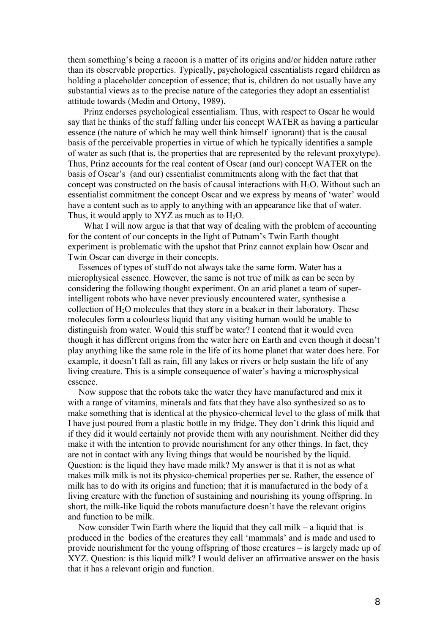them something's being a racoon is a matter of its origins and/or hidden nature rather than its observable properties. Typically, psychological essentialists regard children as holding a placeholder conception of essence; that is, children do not usually have any substantial views as to the precise nature of the categories they adopt an essentialist attitude towards (Medin and Ortony, 1989).

Prinz endorses psychological essentialism. Thus, with respect to Oscar he would say that he thinks of the stuff falling under his concept WATER as having a particular essence (the nature of which he may well think himself ignorant) that is the causal basis of the perceivable properties in virtue of which he typically identifies a sample of water as such (that is, the properties that are represented by the relevant proxytype). Thus, Prinz accounts for the real content of Oscar (and our) concept WATER on the basis of Oscar's (and our) essentialist commitments along with the fact that that concept was constructed on the basis of causal interactions with H2O. Without such an essentialist commitment the concept Oscar and we express by means of 'water' would have a content such as to apply to anything with an appearance like that of water. Thus, it would apply to XYZ as much as to  $H_2O$ .

What I will now argue is that that way of dealing with the problem of accounting for the content of our concepts in the light of Putnam's Twin Earth thought experiment is problematic with the upshot that Prinz cannot explain how Oscar and Twin Oscar can diverge in their concepts.

Essences of types of stuff do not always take the same form. Water has a microphysical essence. However, the same is not true of milk as can be seen by considering the following thought experiment. On an arid planet a team of superintelligent robots who have never previously encountered water, synthesise a collection of  $H_2O$  molecules that they store in a beaker in their laboratory. These molecules form a colourless liquid that any visiting human would be unable to distinguish from water. Would this stuff be water? I contend that it would even though it has different origins from the water here on Earth and even though it doesn't play anything like the same role in the life of its home planet that water does here. For example, it doesn't fall as rain, fill any lakes or rivers or help sustain the life of any living creature. This is a simple consequence of water's having a microsphysical essence.

Now suppose that the robots take the water they have manufactured and mix it with a range of vitamins, minerals and fats that they have also synthesized so as to make something that is identical at the physico-chemical level to the glass of milk that I have just poured from a plastic bottle in my fridge. They don't drink this liquid and if they did it would certainly not provide them with any nourishment. Neither did they make it with the intention to provide nourishment for any other things. In fact, they are not in contact with any living things that would be nourished by the liquid. Question: is the liquid they have made milk? My answer is that it is not as what makes milk milk is not its physico-chemical properties per se. Rather, the essence of milk has to do with its origins and function; that it is manufactured in the body of a living creature with the function of sustaining and nourishing its young offspring. In short, the milk-like liquid the robots manufacture doesn't have the relevant origins and function to be milk.

Now consider Twin Earth where the liquid that they call milk  $-$  a liquid that is produced in the bodies of the creatures they call 'mammals' and is made and used to provide nourishment for the young offspring of those creatures – is largely made up of XYZ. Question: is this liquid milk? I would deliver an affirmative answer on the basis that it has a relevant origin and function.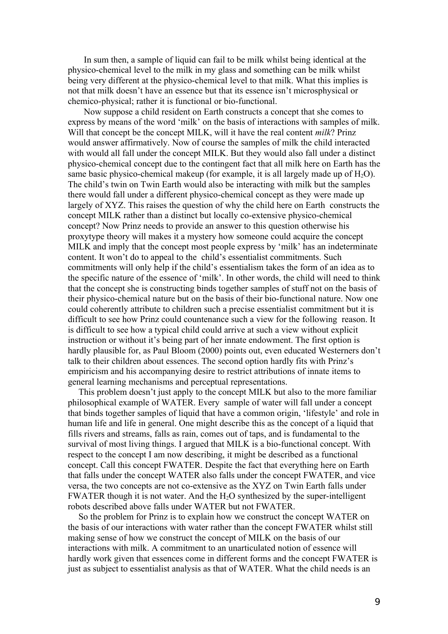In sum then, a sample of liquid can fail to be milk whilst being identical at the physico-chemical level to the milk in my glass and something can be milk whilst being very different at the physico-chemical level to that milk. What this implies is not that milk doesn't have an essence but that its essence isn't microsphysical or chemico-physical; rather it is functional or bio-functional.

Now suppose a child resident on Earth constructs a concept that she comes to express by means of the word 'milk' on the basis of interactions with samples of milk. Will that concept be the concept MILK, will it have the real content *milk*? Prinz would answer affirmatively. Now of course the samples of milk the child interacted with would all fall under the concept MILK. But they would also fall under a distinct physico-chemical concept due to the contingent fact that all milk here on Earth has the same basic physico-chemical makeup (for example, it is all largely made up of  $H_2O$ ). The child's twin on Twin Earth would also be interacting with milk but the samples there would fall under a different physico-chemical concept as they were made up largely of XYZ. This raises the question of why the child here on Earth constructs the concept MILK rather than a distinct but locally co-extensive physico-chemical concept? Now Prinz needs to provide an answer to this question otherwise his proxytype theory will makes it a mystery how someone could acquire the concept MILK and imply that the concept most people express by 'milk' has an indeterminate content. It won't do to appeal to the child's essentialist commitments. Such commitments will only help if the child's essentialism takes the form of an idea as to the specific nature of the essence of 'milk'. In other words, the child will need to think that the concept she is constructing binds together samples of stuff not on the basis of their physico-chemical nature but on the basis of their bio-functional nature. Now one could coherently attribute to children such a precise essentialist commitment but it is difficult to see how Prinz could countenance such a view for the following reason. It is difficult to see how a typical child could arrive at such a view without explicit instruction or without it's being part of her innate endowment. The first option is hardly plausible for, as Paul Bloom (2000) points out, even educated Westerners don't talk to their children about essences. The second option hardly fits with Prinz's empiricism and his accompanying desire to restrict attributions of innate items to general learning mechanisms and perceptual representations.

This problem doesn't just apply to the concept MILK but also to the more familiar philosophical example of WATER. Every sample of water will fall under a concept that binds together samples of liquid that have a common origin, 'lifestyle' and role in human life and life in general. One might describe this as the concept of a liquid that fills rivers and streams, falls as rain, comes out of taps, and is fundamental to the survival of most living things. I argued that MILK is a bio-functional concept. With respect to the concept I am now describing, it might be described as a functional concept. Call this concept FWATER. Despite the fact that everything here on Earth that falls under the concept WATER also falls under the concept FWATER, and vice versa, the two concepts are not co-extensive as the XYZ on Twin Earth falls under FWATER though it is not water. And the  $H<sub>2</sub>O$  synthesized by the super-intelligent robots described above falls under WATER but not FWATER.

So the problem for Prinz is to explain how we construct the concept WATER on the basis of our interactions with water rather than the concept FWATER whilst still making sense of how we construct the concept of MILK on the basis of our interactions with milk. A commitment to an unarticulated notion of essence will hardly work given that essences come in different forms and the concept FWATER is just as subject to essentialist analysis as that of WATER. What the child needs is an